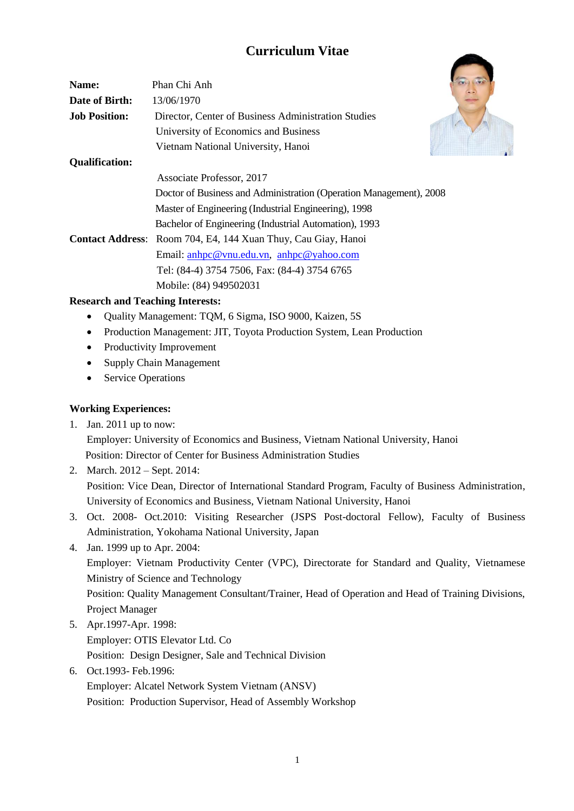# **Curriculum Vitae**

| Name:                   | Phan Chi Anh                                                       |
|-------------------------|--------------------------------------------------------------------|
| Date of Birth:          | 13/06/1970                                                         |
| <b>Job Position:</b>    | Director, Center of Business Administration Studies                |
|                         | University of Economics and Business                               |
|                         | Vietnam National University, Hanoi                                 |
| <b>Qualification:</b>   |                                                                    |
|                         | Associate Professor, 2017                                          |
|                         | Doctor of Business and Administration (Operation Management), 2008 |
|                         | Master of Engineering (Industrial Engineering), 1998               |
|                         | Bachelor of Engineering (Industrial Automation), 1993              |
| <b>Contact Address:</b> | Room 704, E4, 144 Xuan Thuy, Cau Giay, Hanoi                       |
|                         | Email: anhpc@vnu.edu.vn, anhpc@yahoo.com                           |
|                         | Tel: (84-4) 3754 7506, Fax: (84-4) 3754 6765                       |
|                         | Mobile: (84) 949502031                                             |

#### **Research and Teaching Interests:**

- Quality Management: TQM, 6 Sigma, ISO 9000, Kaizen, 5S
- Production Management: JIT, Toyota Production System, Lean Production
- Productivity Improvement
- Supply Chain Management
- Service Operations

## **Working Experiences:**

1. Jan. 2011 up to now:

Employer: University of Economics and Business, Vietnam National University, Hanoi Position: Director of Center for Business Administration Studies

- 2. March. 2012 Sept. 2014: Position: Vice Dean, Director of International Standard Program, Faculty of Business Administration, University of Economics and Business, Vietnam National University, Hanoi
- 3. Oct. 2008- Oct.2010: Visiting Researcher (JSPS Post-doctoral Fellow), Faculty of Business Administration, Yokohama National University, Japan
- 4. Jan. 1999 up to Apr. 2004: Employer: Vietnam Productivity Center (VPC), Directorate for Standard and Quality, Vietnamese Ministry of Science and Technology Position: Quality Management Consultant/Trainer, Head of Operation and Head of Training Divisions, Project Manager
- 5. Apr.1997-Apr. 1998: Employer: OTIS Elevator Ltd. Co Position: Design Designer, Sale and Technical Division
- 6. Oct.1993- Feb.1996: Employer: Alcatel Network System Vietnam (ANSV) Position: Production Supervisor, Head of Assembly Workshop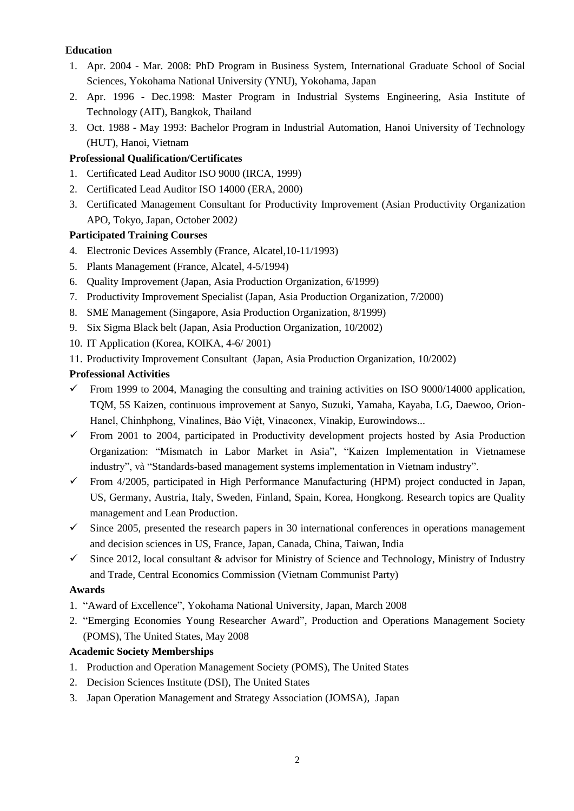### **Education**

- 1. Apr. 2004 Mar. 2008: PhD Program in Business System, International Graduate School of Social Sciences, Yokohama National University (YNU), Yokohama, Japan
- 2. Apr. 1996 Dec.1998: Master Program in Industrial Systems Engineering, Asia Institute of Technology (AIT), Bangkok, Thailand
- 3. Oct. 1988 May 1993: Bachelor Program in Industrial Automation, Hanoi University of Technology (HUT), Hanoi, Vietnam

# **Professional Qualification/Certificates**

- 1. Certificated Lead Auditor ISO 9000 (IRCA, 1999)
- 2. Certificated Lead Auditor ISO 14000 (ERA, 2000)
- 3. Certificated Management Consultant for Productivity Improvement (Asian Productivity Organization APO, Tokyo, Japan, October 2002*)*

## **Participated Training Courses**

- 4. Electronic Devices Assembly (France, Alcatel,10-11/1993)
- 5. Plants Management (France, Alcatel, 4-5/1994)
- 6. Quality Improvement (Japan, Asia Production Organization, 6/1999)
- 7. Productivity Improvement Specialist (Japan, Asia Production Organization, 7/2000)
- 8. SME Management (Singapore, Asia Production Organization, 8/1999)
- 9. Six Sigma Black belt (Japan, Asia Production Organization, 10/2002)
- 10. IT Application (Korea, KOIKA, 4-6/ 2001)
- 11. Productivity Improvement Consultant (Japan, Asia Production Organization, 10/2002)

## **Professional Activities**

- From 1999 to 2004, Managing the consulting and training activities on ISO 9000/14000 application, TQM, 5S Kaizen, continuous improvement at Sanyo, Suzuki, Yamaha, Kayaba, LG, Daewoo, Orion-Hanel, Chinhphong, Vinalines, Bảo Việt, Vinaconex, Vinakip, Eurowindows...
- $\checkmark$  From 2001 to 2004, participated in Productivity development projects hosted by Asia Production Organization: "Mismatch in Labor Market in Asia", "Kaizen Implementation in Vietnamese industry", và "Standards-based management systems implementation in Vietnam industry".
- $\checkmark$  From 4/2005, participated in High Performance Manufacturing (HPM) project conducted in Japan, US, Germany, Austria, Italy, Sweden, Finland, Spain, Korea, Hongkong. Research topics are Quality management and Lean Production.
- $\checkmark$  Since 2005, presented the research papers in 30 international conferences in operations management and decision sciences in US, France, Japan, Canada, China, Taiwan, India
- $\checkmark$  Since 2012, local consultant & advisor for Ministry of Science and Technology, Ministry of Industry and Trade, Central Economics Commission (Vietnam Communist Party)

#### **Awards**

- 1. "Award of Excellence", Yokohama National University, Japan, March 2008
- 2. "Emerging Economies Young Researcher Award", Production and Operations Management Society (POMS), The United States, May 2008

# **Academic Society Memberships**

- 1. Production and Operation Management Society (POMS), The United States
- 2. Decision Sciences Institute (DSI), The United States
- 3. Japan Operation Management and Strategy Association (JOMSA), Japan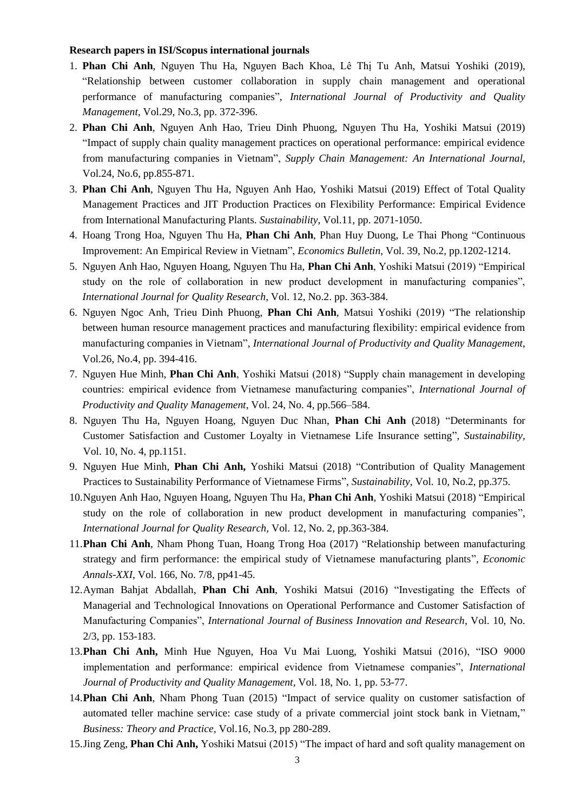#### **Research papers in ISI/Scopus international journals**

- 1. **Phan Chi Anh**, Nguyen Thu Ha, Nguyen Bach Khoa, Lê Thị Tu Anh, Matsui Yoshiki (2019), "Relationship between customer collaboration in supply chain management and operational performance of manufacturing companies", *International Journal of Productivity and Quality Management*, Vol.29, No.3, pp. 372-396.
- 2. **Phan Chi Anh**, Nguyen Anh Hao, Trieu Dinh Phuong, Nguyen Thu Ha, Yoshiki Matsui (2019) ["Impact of supply chain quality management practices on operational performance: empirical evidence](https://www.emerald.com/insight/content/doi/10.1108/SCM-12-2018-0445/full/html)  [from manufacturing companies in Vietnam"](https://www.emerald.com/insight/content/doi/10.1108/SCM-12-2018-0445/full/html), *Supply Chain Management: An International Journal*, Vol.24, No.6, pp.855-871.
- 3. **Phan Chi Anh**, Nguyen Thu Ha, Nguyen Anh Hao, Yoshiki Matsui (2019) Effect of Total Quality Management Practices and JIT Production Practices on Flexibility Performance: Empirical Evidence from International Manufacturing Plants. *Sustainability*, Vol.11, pp. 2071-1050.
- 4. Hoang Trong Hoa, Nguyen Thu Ha, **Phan Chi Anh**, Phan Huy Duong, Le Thai Phong "Continuous Improvement: An Empirical Review in Vietnam", *Economics Bulletin*, Vol. 39, No.2, pp.1202-1214.
- 5. Nguyen Anh Hao, Nguyen Hoang, Nguyen Thu Ha, **Phan Chi Anh**, Yoshiki Matsui (2019) "Empirical study on the role of collaboration in new product development in manufacturing companies", *International Journal for Quality Research*, Vol. 12, No.2. pp. 363-384.
- 6. Nguyen Ngoc Anh, Trieu Dinh Phuong, **Phan Chi Anh**, Matsui Yoshiki (2019) "The relationship between human resource management practices and manufacturing flexibility: empirical evidence from manufacturing companies in Vietnam", *International Journal of Productivity and Quality Management*, Vol.26, No.4, pp. 394-416.
- 7. Nguyen Hue Minh, **Phan Chi Anh**, Yoshiki Matsui (2018) "Supply chain management in developing countries: empirical evidence from Vietnamese manufacturing companies", *International Journal of Productivity and Quality Management*, Vol. 24, No. 4, pp.566–584.
- 8. Nguyen Thu Ha, Nguyen Hoang, Nguyen Duc Nhan, **Phan Chi Anh** (2018) "Determinants for Customer Satisfaction and Customer Loyalty in Vietnamese Life Insurance setting", *Sustainability*, Vol. 10, No. 4, pp.1151.
- 9. Nguyen Hue Minh, **Phan Chi Anh,** Yoshiki Matsui (2018) "Contribution of Quality Management Practices to Sustainability Performance of Vietnamese Firms", *Sustainability*, Vol. 10, No.2, pp.375.
- 10.Nguyen Anh Hao, Nguyen Hoang, Nguyen Thu Ha, **Phan Chi Anh**, Yoshiki Matsui (2018) "Empirical study on the role of collaboration in new product development in manufacturing companies", *International Journal for Quality Research*, Vol. 12, No. 2, pp.363-384.
- 11.**Phan Chi Anh**, Nham Phong Tuan, Hoang Trong Hoa (2017) "Relationship between manufacturing strategy and firm performance: the empirical study of Vietnamese manufacturing plants", *Economic Annals-XXI*, Vol. 166, No. 7/8, pp41-45.
- 12.Ayman Bahjat Abdallah, **Phan Chi Anh**, Yoshiki Matsui (2016) "Investigating the Effects of Managerial and Technological Innovations on Operational Performance and Customer Satisfaction of Manufacturing Companies", *International Journal of Business Innovation and Research*, Vol. 10, No. 2/3, pp. 153-183.
- 13.**Phan Chi Anh,** Minh Hue Nguyen, Hoa Vu Mai Luong, Yoshiki Matsui (2016), "ISO 9000 implementation and performance: empirical evidence from Vietnamese companies", *International Journal of Productivity and Quality Management*, Vol. 18, No. 1, pp. 53-77.
- 14.**Phan Chi Anh**, Nham Phong Tuan (2015) "Impact of service quality on customer satisfaction of automated teller machine service: case study of a private commercial joint stock bank in Vietnam," *Business: Theory and Practice*, Vol.16, No.3, pp 280-289.
- 15.Jing Zeng, **Phan Chi Anh,** Yoshiki Matsui (2015) "The impact of hard and soft quality management on